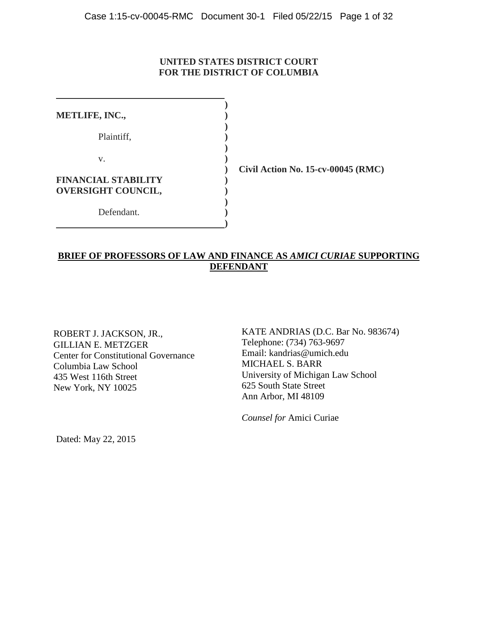### **UNITED STATES DISTRICT COURT FOR THE DISTRICT OF COLUMBIA**

| <b>METLIFE, INC.,</b>      |  |
|----------------------------|--|
|                            |  |
| Plaintiff,                 |  |
|                            |  |
| V.                         |  |
|                            |  |
| <b>FINANCIAL STABILITY</b> |  |
| <b>OVERSIGHT COUNCIL,</b>  |  |
|                            |  |
| Defendant.                 |  |
|                            |  |

**) Civil Action No. 15-cv-00045 (RMC)**

### **BRIEF OF PROFESSORS OF LAW AND FINANCE AS** *AMICI CURIAE* **SUPPORTING DEFENDANT**

ROBERT J. JACKSON, JR., GILLIAN E. METZGER Center for Constitutional Governance Columbia Law School 435 West 116th Street New York, NY 10025

KATE ANDRIAS (D.C. Bar No. 983674) Telephone: (734) 763-9697 Email: kandrias@umich.edu MICHAEL S. BARR University of Michigan Law School 625 South State Street Ann Arbor, MI 48109

*Counsel for* Amici Curiae

Dated: May 22, 2015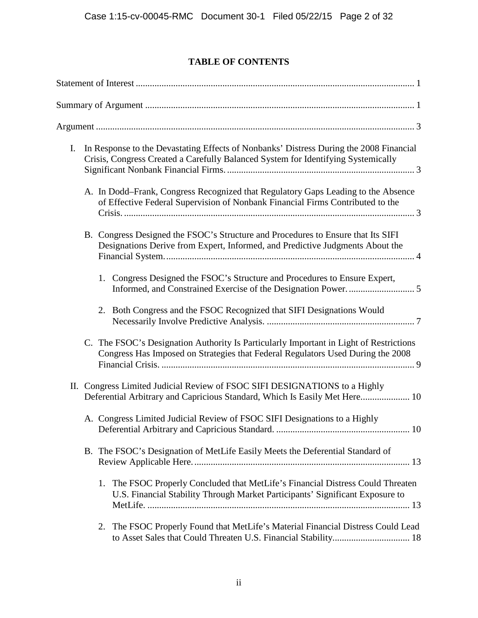# **TABLE OF CONTENTS**

| I. | In Response to the Devastating Effects of Nonbanks' Distress During the 2008 Financial<br>Crisis, Congress Created a Carefully Balanced System for Identifying Systemically |
|----|-----------------------------------------------------------------------------------------------------------------------------------------------------------------------------|
|    | A. In Dodd–Frank, Congress Recognized that Regulatory Gaps Leading to the Absence<br>of Effective Federal Supervision of Nonbank Financial Firms Contributed to the         |
|    | B. Congress Designed the FSOC's Structure and Procedures to Ensure that Its SIFI<br>Designations Derive from Expert, Informed, and Predictive Judgments About the           |
|    | Congress Designed the FSOC's Structure and Procedures to Ensure Expert,<br>1.                                                                                               |
|    | 2. Both Congress and the FSOC Recognized that SIFI Designations Would                                                                                                       |
|    | C. The FSOC's Designation Authority Is Particularly Important in Light of Restrictions<br>Congress Has Imposed on Strategies that Federal Regulators Used During the 2008   |
|    | II. Congress Limited Judicial Review of FSOC SIFI DESIGNATIONS to a Highly<br>Deferential Arbitrary and Capricious Standard, Which Is Easily Met Here 10                    |
|    | A. Congress Limited Judicial Review of FSOC SIFI Designations to a Highly                                                                                                   |
|    | B. The FSOC's Designation of MetLife Easily Meets the Deferential Standard of                                                                                               |
|    | The FSOC Properly Concluded that MetLife's Financial Distress Could Threaten<br>1.<br>U.S. Financial Stability Through Market Participants' Significant Exposure to         |
|    | The FSOC Properly Found that MetLife's Material Financial Distress Could Lead<br>2.                                                                                         |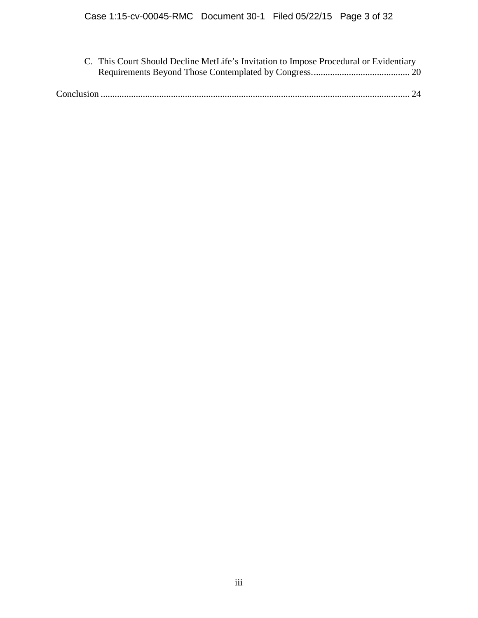| C. This Court Should Decline MetLife's Invitation to Impose Procedural or Evidentiary |  |  |  |
|---------------------------------------------------------------------------------------|--|--|--|
|                                                                                       |  |  |  |
|                                                                                       |  |  |  |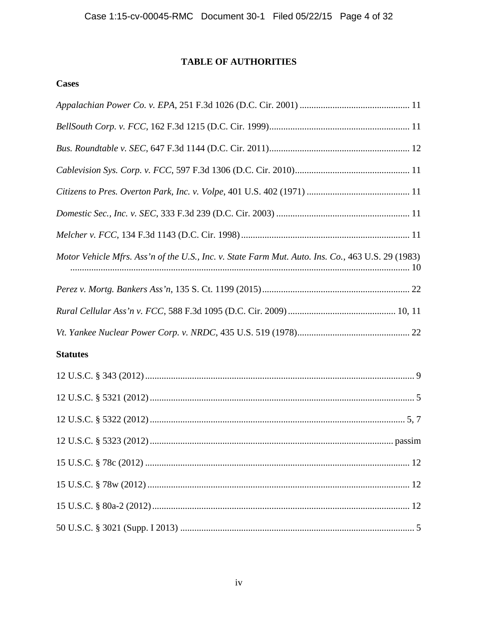# TABLE OF AUTHORITIES

# **Cases**

| Motor Vehicle Mfrs. Ass'n of the U.S., Inc. v. State Farm Mut. Auto. Ins. Co., 463 U.S. 29 (1983) |
|---------------------------------------------------------------------------------------------------|
|                                                                                                   |
|                                                                                                   |
|                                                                                                   |
| <b>Statutes</b>                                                                                   |
|                                                                                                   |
|                                                                                                   |
|                                                                                                   |
|                                                                                                   |
|                                                                                                   |
|                                                                                                   |
|                                                                                                   |
|                                                                                                   |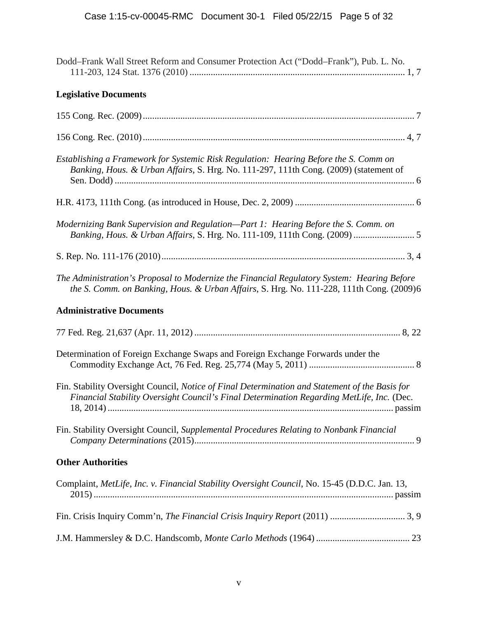| Dodd-Frank Wall Street Reform and Consumer Protection Act ("Dodd-Frank"), Pub. L. No.                                                                                                       |
|---------------------------------------------------------------------------------------------------------------------------------------------------------------------------------------------|
| <b>Legislative Documents</b>                                                                                                                                                                |
|                                                                                                                                                                                             |
|                                                                                                                                                                                             |
| Establishing a Framework for Systemic Risk Regulation: Hearing Before the S. Comm on<br>Banking, Hous. & Urban Affairs, S. Hrg. No. 111-297, 111th Cong. (2009) (statement of               |
|                                                                                                                                                                                             |
| Modernizing Bank Supervision and Regulation-Part 1: Hearing Before the S. Comm. on<br>Banking, Hous. & Urban Affairs, S. Hrg. No. 111-109, 111th Cong. (2009)  5                            |
|                                                                                                                                                                                             |
| The Administration's Proposal to Modernize the Financial Regulatory System: Hearing Before<br>the S. Comm. on Banking, Hous. & Urban Affairs, S. Hrg. No. 111-228, 111th Cong. (2009)6      |
|                                                                                                                                                                                             |
| <b>Administrative Documents</b>                                                                                                                                                             |
|                                                                                                                                                                                             |
| Determination of Foreign Exchange Swaps and Foreign Exchange Forwards under the                                                                                                             |
| Fin. Stability Oversight Council, Notice of Final Determination and Statement of the Basis for<br>Financial Stability Oversight Council's Final Determination Regarding MetLife, Inc. (Dec. |
| Fin. Stability Oversight Council, Supplemental Procedures Relating to Nonbank Financial                                                                                                     |
| <b>Other Authorities</b>                                                                                                                                                                    |
| Complaint, MetLife, Inc. v. Financial Stability Oversight Council, No. 15-45 (D.D.C. Jan. 13,                                                                                               |
|                                                                                                                                                                                             |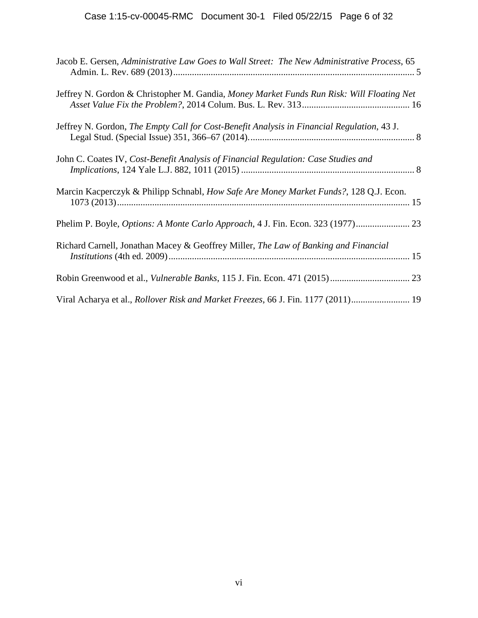| Jacob E. Gersen, Administrative Law Goes to Wall Street: The New Administrative Process, 65 |  |
|---------------------------------------------------------------------------------------------|--|
| Jeffrey N. Gordon & Christopher M. Gandia, Money Market Funds Run Risk: Will Floating Net   |  |
| Jeffrey N. Gordon, The Empty Call for Cost-Benefit Analysis in Financial Regulation, 43 J.  |  |
| John C. Coates IV, Cost-Benefit Analysis of Financial Regulation: Case Studies and          |  |
| Marcin Kacperczyk & Philipp Schnabl, How Safe Are Money Market Funds?, 128 Q.J. Econ.       |  |
|                                                                                             |  |
| Richard Carnell, Jonathan Macey & Geoffrey Miller, The Law of Banking and Financial         |  |
|                                                                                             |  |
| Viral Acharya et al., Rollover Risk and Market Freezes, 66 J. Fin. 1177 (2011) 19           |  |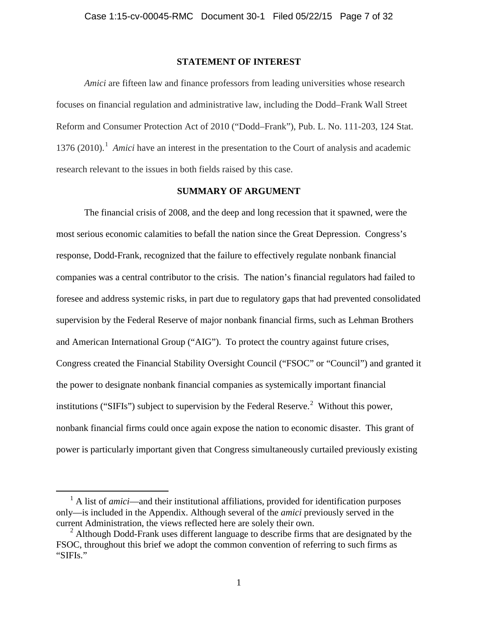#### **STATEMENT OF INTEREST**

*Amici* are fifteen law and finance professors from leading universities whose research focuses on financial regulation and administrative law, including the Dodd–Frank Wall Street Reform and Consumer Protection Act of 2010 ("Dodd–Frank"), Pub. L. No. 111-203, 124 Stat. 1376 (2010).<sup>1</sup> *Amici* have an interest in the presentation to the Court of analysis and academic research relevant to the issues in both fields raised by this case.

### **SUMMARY OF ARGUMENT**

The financial crisis of 2008, and the deep and long recession that it spawned, were the most serious economic calamities to befall the nation since the Great Depression. Congress's response, Dodd-Frank, recognized that the failure to effectively regulate nonbank financial companies was a central contributor to the crisis. The nation's financial regulators had failed to foresee and address systemic risks, in part due to regulatory gaps that had prevented consolidated supervision by the Federal Reserve of major nonbank financial firms, such as Lehman Brothers and American International Group ("AIG"). To protect the country against future crises, Congress created the Financial Stability Oversight Council ("FSOC" or "Council") and granted it the power to designate nonbank financial companies as systemically important financial institutions ("SIFIs") subject to supervision by the Federal Reserve.<sup>2</sup> Without this power, nonbank financial firms could once again expose the nation to economic disaster. This grant of power is particularly important given that Congress simultaneously curtailed previously existing

<sup>&</sup>lt;sup>1</sup> A list of *amici*—and their institutional affiliations, provided for identification purposes only—is included in the Appendix. Although several of the *amici* previously served in the current Administration, the views reflected here are solely their own.

 $2^2$  Although Dodd-Frank uses different language to describe firms that are designated by the FSOC, throughout this brief we adopt the common convention of referring to such firms as "SIFIs."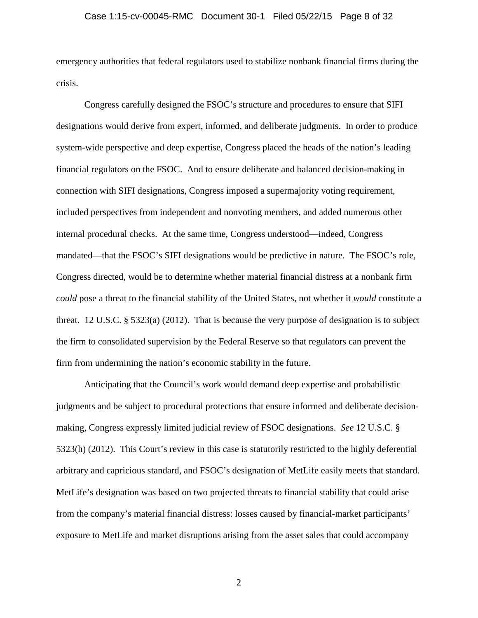#### Case 1:15-cv-00045-RMC Document 30-1 Filed 05/22/15 Page 8 of 32

emergency authorities that federal regulators used to stabilize nonbank financial firms during the crisis.

Congress carefully designed the FSOC's structure and procedures to ensure that SIFI designations would derive from expert, informed, and deliberate judgments. In order to produce system-wide perspective and deep expertise, Congress placed the heads of the nation's leading financial regulators on the FSOC. And to ensure deliberate and balanced decision-making in connection with SIFI designations, Congress imposed a supermajority voting requirement, included perspectives from independent and nonvoting members, and added numerous other internal procedural checks. At the same time, Congress understood—indeed, Congress mandated—that the FSOC's SIFI designations would be predictive in nature. The FSOC's role, Congress directed, would be to determine whether material financial distress at a nonbank firm *could* pose a threat to the financial stability of the United States, not whether it *would* constitute a threat. 12 U.S.C. § 5323(a) (2012). That is because the very purpose of designation is to subject the firm to consolidated supervision by the Federal Reserve so that regulators can prevent the firm from undermining the nation's economic stability in the future.

Anticipating that the Council's work would demand deep expertise and probabilistic judgments and be subject to procedural protections that ensure informed and deliberate decision making, Congress expressly limited judicial review of FSOC designations. *See* 12 U.S.C. § 5323(h) (2012). This Court's review in this case is statutorily restricted to the highly deferential arbitrary and capricious standard, and FSOC's designation of MetLife easily meets that standard. MetLife's designation was based on two projected threats to financial stability that could arise from the company's material financial distress: losses caused by financial-market participants' exposure to MetLife and market disruptions arising from the asset sales that could accompany

2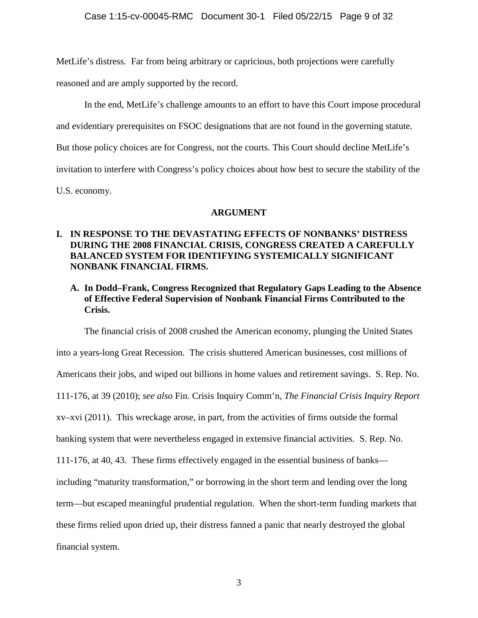MetLife's distress. Far from being arbitrary or capricious, both projections were carefully

reasoned and are amply supported by the record.

In the end, MetLife's challenge amounts to an effort to have this Court impose procedural

and evidentiary prerequisites on FSOC designations that are not found in the governing statute.

But those policy choices are for Congress, not the courts. This Court should decline MetLife's

invitation to interfere with Congress's policy choices about how best to secure the stability of the

U.S. economy.

### **ARGUMENT**

# **I. IN RESPONSE TO THE DEVASTATING EFFECTS OF NONBANKS' DISTRESS DURING THE 2008 FINANCIAL CRISIS, CONGRESS CREATED A CAREFULLY BALANCED SYSTEM FOR IDENTIFYING SYSTEMICALLY SIGNIFICANT NONBANK FINANCIAL FIRMS.**

# **A. In Dodd–Frank, Congress Recognized that Regulatory Gaps Leading to the Absence of Effective Federal Supervision of Nonbank Financial Firms Contributed to the Crisis.**

The financial crisis of 2008 crushed the American economy, plunging the United States into a years-long Great Recession. The crisis shuttered American businesses, cost millions of Americans their jobs, and wiped out billions in home values and retirement savings. S. Rep. No. 111-176, at 39 (2010); *see also* Fin. Crisis Inquiry Comm'n, *The Financial Crisis Inquiry Report* xv–xvi (2011). This wreckage arose, in part, from the activities of firms outside the formal banking system that were nevertheless engaged in extensive financial activities. S. Rep. No. 111-176, at 40, 43. These firms effectively engaged in the essential business of banks including "maturity transformation," or borrowing in the short term and lending over the long term—but escaped meaningful prudential regulation. When the short-term funding markets that these firms relied upon dried up, their distress fanned a panic that nearly destroyed the global financial system.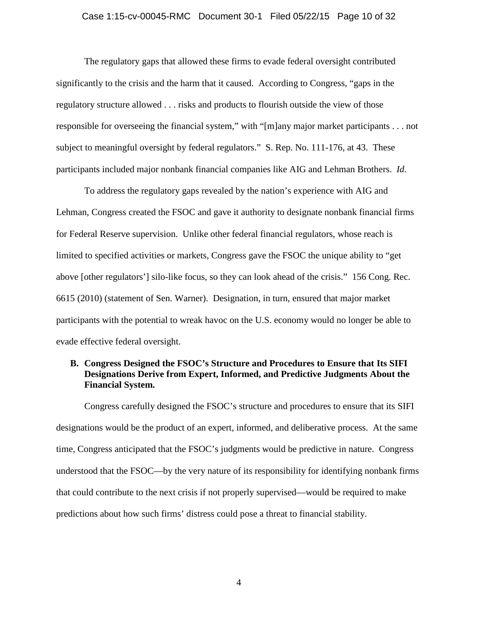#### Case 1:15-cv-00045-RMC Document 30-1 Filed 05/22/15 Page 10 of 32

The regulatory gaps that allowed these firms to evade federal oversight contributed significantly to the crisis and the harm that it caused. According to Congress, "gaps in the regulatory structure allowed . . . risks and products to flourish outside the view of those responsible for overseeing the financial system," with "[m]any major market participants . . . not subject to meaningful oversight by federal regulators." S. Rep. No. 111-176, at 43. These participants included major nonbank financial companies like AIG and Lehman Brothers. *Id*.

To address the regulatory gaps revealed by the nation's experience with AIG and Lehman, Congress created the FSOC and gave it authority to designate nonbank financial firms for Federal Reserve supervision. Unlike other federal financial regulators, whose reach is limited to specified activities or markets, Congress gave the FSOC the unique ability to "get above [other regulators'] silo-like focus, so they can look ahead of the crisis." 156 Cong. Rec. 6615 (2010) (statement of Sen. Warner). Designation, in turn, ensured that major market participants with the potential to wreak havoc on the U.S. economy would no longer be able to evade effective federal oversight.

### **B. Congress Designed the FSOC's Structure and Procedures to Ensure that Its SIFI Designations Derive from Expert, Informed, and Predictive Judgments About the Financial System.**

Congress carefully designed the FSOC's structure and procedures to ensure that its SIFI designations would be the product of an expert, informed, and deliberative process. At the same time, Congress anticipated that the FSOC's judgments would be predictive in nature. Congress understood that the FSOC—by the very nature of its responsibility for identifying nonbank firms that could contribute to the next crisis if not properly supervised––would be required to make predictions about how such firms' distress could pose a threat to financial stability.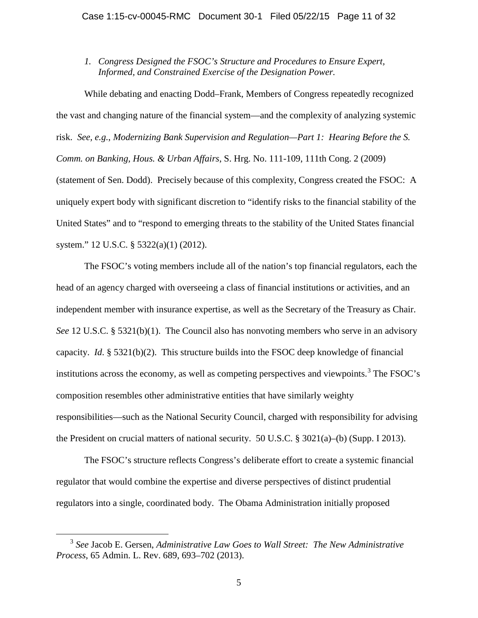*1. Congress Designed the FSOC's Structure and Procedures to Ensure Expert, Informed, and Constrained Exercise of the Designation Power.*

While debating and enacting Dodd–Frank, Members of Congress repeatedly recognized the vast and changing nature of the financial system—and the complexity of analyzing systemic risk. *See, e.g.*, *Modernizing Bank Supervision and Regulation—Part 1: Hearing Before the S. Comm. on Banking, Hous. & Urban Affairs*, S. Hrg. No. 111-109, 111th Cong. 2 (2009) (statement of Sen. Dodd). Precisely because of this complexity, Congress created the FSOC: A uniquely expert body with significant discretion to "identify risks to the financial stability of the United States" and to "respond to emerging threats to the stability of the United States financial system." 12 U.S.C. § 5322(a)(1) (2012).

The FSOC's voting members include all of the nation's top financial regulators, each the head of an agency charged with overseeing a class of financial institutions or activities, and an independent member with insurance expertise, as well as the Secretary of the Treasury as Chair. *See* 12 U.S.C. § 5321(b)(1). The Council also has nonvoting members who serve in an advisory capacity. *Id*. § 5321(b)(2). This structure builds into the FSOC deep knowledge of financial institutions across the economy, as well as competing perspectives and viewpoints.<sup>3</sup> The FSOC's composition resembles other administrative entities that have similarly weighty responsibilities—such as the National Security Council, charged with responsibility for advising the President on crucial matters of national security. 50 U.S.C. § 3021(a)–(b) (Supp. I 2013).

The FSOC's structure reflects Congress's deliberate effort to create a systemic financial regulator that would combine the expertise and diverse perspectives of distinct prudential regulators into a single, coordinated body. The Obama Administration initially proposed

<sup>3</sup> *See* Jacob E. Gersen, *Administrative Law Goes to Wall Street: The New Administrative Process*, 65 Admin. L. Rev. 689, 693–702 (2013).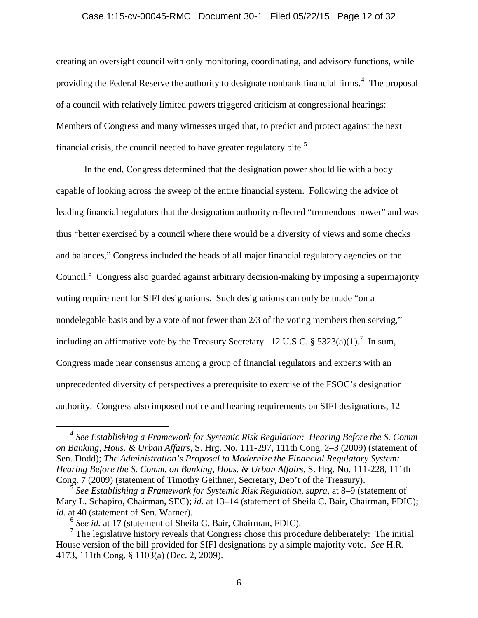#### Case 1:15-cv-00045-RMC Document 30-1 Filed 05/22/15 Page 12 of 32

creating an oversight council with only monitoring, coordinating, and advisory functions, while providing the Federal Reserve the authority to designate nonbank financial firms.<sup>4</sup> The proposal of a council with relatively limited powers triggered criticism at congressional hearings: Members of Congress and many witnesses urged that, to predict and protect against the next financial crisis, the council needed to have greater regulatory bite.<sup>5</sup>

In the end, Congress determined that the designation power should lie with a body capable of looking across the sweep of the entire financial system. Following the advice of leading financial regulators that the designation authority reflected "tremendous power" and was thus "better exercised by a council where there would be a diversity of views and some checks and balances," Congress included the heads of all major financial regulatory agencies on the Council.<sup>6</sup> Congress also guarded against arbitrary decision-making by imposing a supermajority voting requirement for SIFI designations. Such designations can only be made "on a nondelegable basis and by a vote of not fewer than 2/3 of the voting members then serving," including an affirmative vote by the Treasury Secretary. 12 U.S.C. § 5323(a)(1).<sup>7</sup> In sum, Congress made near consensus among a group of financial regulators and experts with an unprecedented diversity of perspectives a prerequisite to exercise of the FSOC's designation authority. Congress also imposed notice and hearing requirements on SIFI designations, 12

<sup>4</sup> *See Establishing a Framework for Systemic Risk Regulation: Hearing Before the S. Comm on Banking, Hous. & Urban Affairs*, S. Hrg. No. 111-297, 111th Cong. 2–3 (2009) (statement of Sen. Dodd); *The Administration's Proposal to Modernize the Financial Regulatory System: Hearing Before the S. Comm. on Banking, Hous. & Urban Affairs*, S. Hrg. No. 111-228, 111th Cong. 7 (2009) (statement of Timothy Geithner, Secretary, Dep't of the Treasury). <sup>5</sup> *See Establishing a Framework for Systemic Risk Regulation*, *supra*, at 8–9 (statement of

Mary L. Schapiro, Chairman, SEC); *id.* at 13–14 (statement of Sheila C. Bair, Chairman, FDIC);

*id.* at 40 (statement of Sen. Warner).<br><sup>6</sup> *See id.* at 17 (statement of Sheila C. Bair, Chairman, FDIC).<br><sup>7</sup> The legislative history reveals that Congress chose this procedure deliberately: The initial House version of the bill provided for SIFI designations by a simple majority vote. *See* H.R. 4173, 111th Cong. § 1103(a) (Dec. 2, 2009).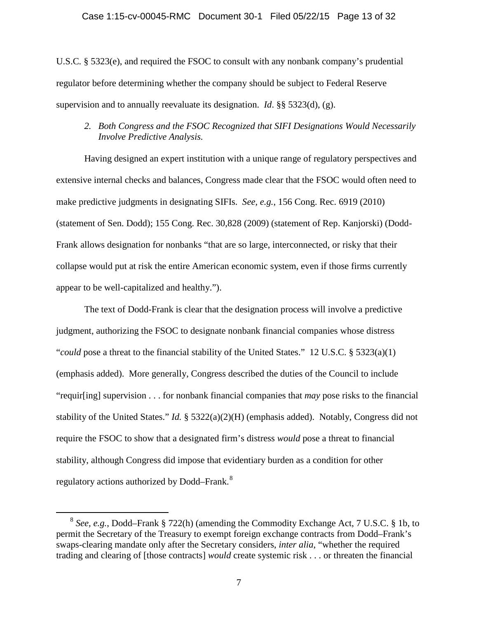#### Case 1:15-cv-00045-RMC Document 30-1 Filed 05/22/15 Page 13 of 32

U.S.C*.* § 5323(e), and required the FSOC to consult with any nonbank company's prudential regulator before determining whether the company should be subject to Federal Reserve supervision and to annually reevaluate its designation. *Id*. §§ 5323(d), (g).

# *2. Both Congress and the FSOC Recognized that SIFI Designations Would Necessarily Involve Predictive Analysis.*

Having designed an expert institution with a unique range of regulatory perspectives and extensive internal checks and balances, Congress made clear that the FSOC would often need to make predictive judgments in designating SIFIs. *See, e.g.*, 156 Cong. Rec. 6919 (2010) (statement of Sen. Dodd); 155 Cong. Rec. 30,828 (2009) (statement of Rep. Kanjorski) (Dodd- Frank allows designation for nonbanks "that are so large, interconnected, or risky that their collapse would put at risk the entire American economic system, even if those firms currently appear to be well-capitalized and healthy.").

The text of Dodd-Frank is clear that the designation process will involve a predictive judgment, authorizing the FSOC to designate nonbank financial companies whose distress "*could* pose a threat to the financial stability of the United States." 12 U.S.C. § 5323(a)(1) (emphasis added). More generally, Congress described the duties of the Council to include "requir[ing] supervision . . . for nonbank financial companies that *may* pose risks to the financial stability of the United States." *Id.* § 5322(a)(2)(H) (emphasis added). Notably, Congress did not require the FSOC to show that a designated firm's distress *would* pose a threat to financial stability, although Congress did impose that evidentiary burden as a condition for other regulatory actions authorized by Dodd–Frank.<sup>8</sup>

<sup>8</sup> *See, e.g.*, Dodd–Frank § 722(h) (amending the Commodity Exchange Act, 7 U.S.C. § 1b, to permit the Secretary of the Treasury to exempt foreign exchange contracts from Dodd–Frank's swaps-clearing mandate only after the Secretary considers, *inter alia*, "whether the required trading and clearing of [those contracts] *would* create systemic risk . . . or threaten the financial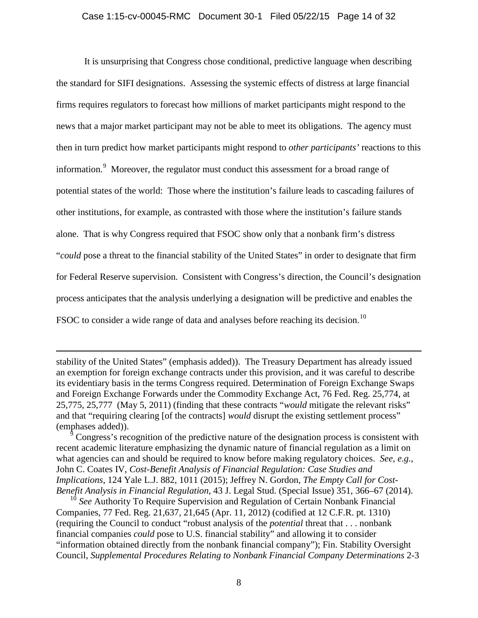#### Case 1:15-cv-00045-RMC Document 30-1 Filed 05/22/15 Page 14 of 32

It is unsurprising that Congress chose conditional, predictive language when describing the standard for SIFI designations. Assessing the systemic effects of distress at large financial firms requires regulators to forecast how millions of market participants might respond to the news that a major market participant may not be able to meet its obligations. The agency must then in turn predict how market participants might respond to *other participants'* reactions to this information.<sup>9</sup> Moreover, the regulator must conduct this assessment for a broad range of potential states of the world: Those where the institution's failure leads to cascading failures of other institutions, for example, as contrasted with those where the institution's failure stands alone. That is why Congress required that FSOC show only that a nonbank firm's distress "*could* pose a threat to the financial stability of the United States" in order to designate that firm for Federal Reserve supervision. Consistent with Congress's direction, the Council's designation process anticipates that the analysis underlying a designation will be predictive and enables the FSOC to consider a wide range of data and analyses before reaching its decision.<sup>10</sup>

stability of the United States" (emphasis added)). The Treasury Department has already issued an exemption for foreign exchange contracts under this provision, and it was careful to describe its evidentiary basis in the terms Congress required. Determination of Foreign Exchange Swaps and Foreign Exchange Forwards under the Commodity Exchange Act, 76 Fed. Reg. 25,774, at 25,775, 25,777 (May 5, 2011) (finding that these contracts "*would* mitigate the relevant risks" and that "requiring clearing [of the contracts] *would* disrupt the existing settlement process" (emphases added)).

<sup>9</sup> Congress's recognition of the predictive nature of the designation process is consistent with recent academic literature emphasizing the dynamic nature of financial regulation as a limit on what agencies can and should be required to know before making regulatory choices. *See, e.g.*, John C. Coates IV, *Cost-Benefit Analysis of Financial Regulation: Case Studies and Implications*, 124 Yale L.J. 882, 1011 (2015); Jeffrey N. Gordon, *The Empty Call for Cost- Benefit Analysis in Financial Regulation*, 43 J. Legal Stud. (Special Issue) 351, 366–67 (2014).

<sup>10</sup> *See* Authority To Require Supervision and Regulation of Certain Nonbank Financial Companies, 77 Fed. Reg. 21,637, 21,645 (Apr. 11, 2012) (codified at 12 C.F.R. pt. 1310) (requiring the Council to conduct "robust analysis of the *potential* threat that . . . nonbank financial companies *could* pose to U.S. financial stability" and allowing it to consider "information obtained directly from the nonbank financial company"); Fin. Stability Oversight Council, *Supplemental Procedures Relating to Nonbank Financial Company Determinations* 2-3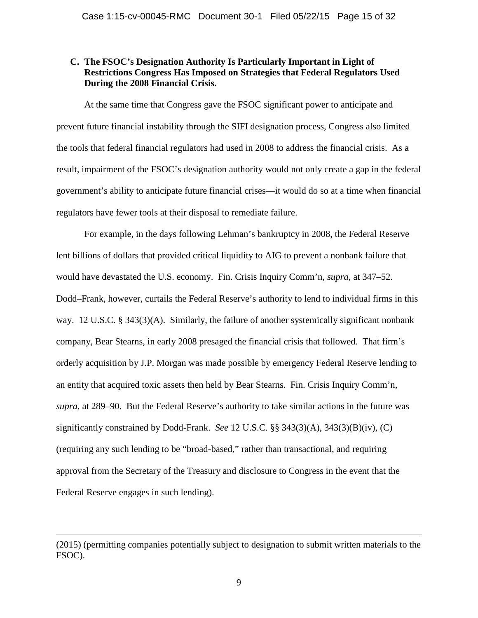### **C. The FSOC's Designation Authority Is Particularly Important in Light of Restrictions Congress Has Imposed on Strategies that Federal Regulators Used During the 2008 Financial Crisis.**

At the same time that Congress gave the FSOC significant power to anticipate and prevent future financial instability through the SIFI designation process, Congress also limited the tools that federal financial regulators had used in 2008 to address the financial crisis. As a result, impairment of the FSOC's designation authority would not only create a gap in the federal government's ability to anticipate future financial crises—it would do so at a time when financial regulators have fewer tools at their disposal to remediate failure.

For example, in the days following Lehman's bankruptcy in 2008, the Federal Reserve lent billions of dollars that provided critical liquidity to AIG to prevent a nonbank failure that would have devastated the U.S. economy. Fin. Crisis Inquiry Comm'n, *supra*, at 347–52. Dodd–Frank, however, curtails the Federal Reserve's authority to lend to individual firms in this way. 12 U.S.C. § 343(3)(A). Similarly, the failure of another systemically significant nonbank company, Bear Stearns, in early 2008 presaged the financial crisis that followed. That firm's orderly acquisition by J.P. Morgan was made possible by emergency Federal Reserve lending to an entity that acquired toxic assets then held by Bear Stearns. Fin. Crisis Inquiry Comm'n, *supra*, at 289–90. But the Federal Reserve's authority to take similar actions in the future was significantly constrained by Dodd-Frank. *See* 12 U.S.C. §§ 343(3)(A), 343(3)(B)(iv), (C) (requiring any such lending to be "broad-based," rather than transactional, and requiring approval from the Secretary of the Treasury and disclosure to Congress in the event that the Federal Reserve engages in such lending).

<sup>(2015)</sup> (permitting companies potentially subject to designation to submit written materials to the FSOC).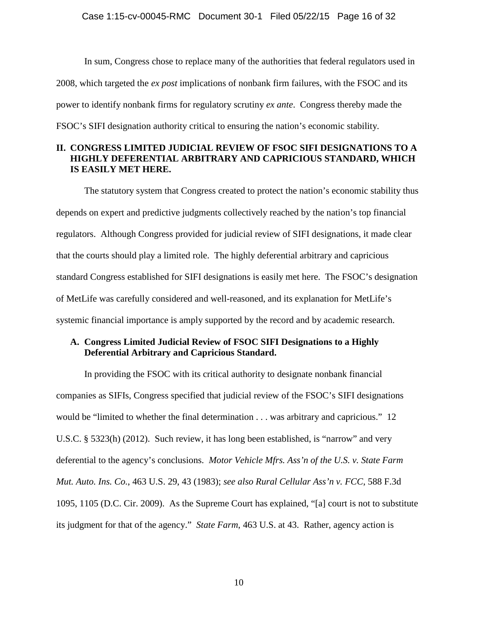In sum, Congress chose to replace many of the authorities that federal regulators used in 2008, which targeted the *ex post* implications of nonbank firm failures, with the FSOC and its power to identify nonbank firms for regulatory scrutiny *ex ante*. Congress thereby made the FSOC's SIFI designation authority critical to ensuring the nation's economic stability.

# **II. CONGRESS LIMITED JUDICIAL REVIEW OF FSOC SIFI DESIGNATIONS TO A HIGHLY DEFERENTIAL ARBITRARY AND CAPRICIOUS STANDARD, WHICH IS EASILY MET HERE.**

The statutory system that Congress created to protect the nation's economic stability thus depends on expert and predictive judgments collectively reached by the nation's top financial regulators. Although Congress provided for judicial review of SIFI designations, it made clear that the courts should play a limited role. The highly deferential arbitrary and capricious standard Congress established for SIFI designations is easily met here. The FSOC's designation of MetLife was carefully considered and well-reasoned, and its explanation for MetLife's systemic financial importance is amply supported by the record and by academic research.

# **A. Congress Limited Judicial Review of FSOC SIFI Designations to a Highly Deferential Arbitrary and Capricious Standard.**

In providing the FSOC with its critical authority to designate nonbank financial companies as SIFIs, Congress specified that judicial review of the FSOC's SIFI designations would be "limited to whether the final determination . . . was arbitrary and capricious." 12 U.S.C. § 5323(h) (2012). Such review, it has long been established, is "narrow" and very deferential to the agency's conclusions. *Motor Vehicle Mfrs. Ass'n of the U.S. v. State Farm Mut. Auto. Ins. Co.*, 463 U.S. 29, 43 (1983); *see also Rural Cellular Ass'n v. FCC*, 588 F.3d 1095, 1105 (D.C. Cir. 2009). As the Supreme Court has explained, "[a] court is not to substitute its judgment for that of the agency." *State Farm*, 463 U.S. at 43. Rather, agency action is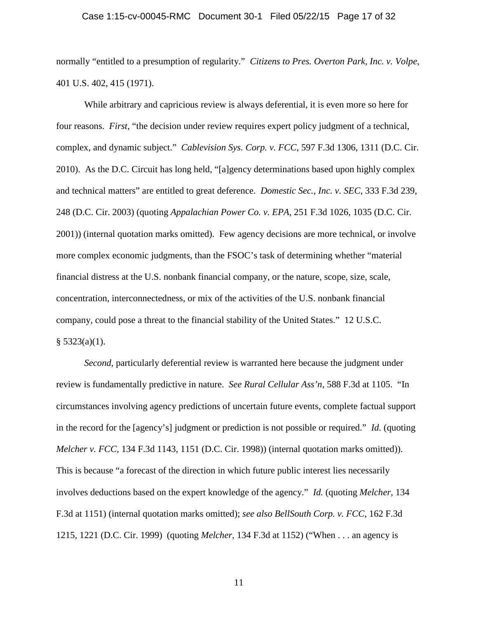#### Case 1:15-cv-00045-RMC Document 30-1 Filed 05/22/15 Page 17 of 32

normally "entitled to a presumption of regularity." *Citizens to Pres. Overton Park, Inc. v. Volpe*, 401 U.S. 402, 415 (1971).

While arbitrary and capricious review is always deferential, it is even more so here for four reasons. *First*, "the decision under review requires expert policy judgment of a technical, complex, and dynamic subject." *Cablevision Sys. Corp. v. FCC*, 597 F.3d 1306, 1311 (D.C. Cir. 2010). As the D.C. Circuit has long held, "[a]gency determinations based upon highly complex and technical matters" are entitled to great deference. *Domestic Sec., Inc. v. SEC*, 333 F.3d 239, 248 (D.C. Cir. 2003) (quoting *Appalachian Power Co. v. EPA*, 251 F.3d 1026, 1035 (D.C. Cir. 2001)) (internal quotation marks omitted). Few agency decisions are more technical, or involve more complex economic judgments, than the FSOC's task of determining whether "material financial distress at the U.S. nonbank financial company, or the nature, scope, size, scale, concentration, interconnectedness, or mix of the activities of the U.S. nonbank financial company, could pose a threat to the financial stability of the United States." 12 U.S.C.  $§$  5323(a)(1).

*Second*, particularly deferential review is warranted here because the judgment under review is fundamentally predictive in nature. *See Rural Cellular Ass'n*, 588 F.3d at 1105. "In circumstances involving agency predictions of uncertain future events, complete factual support in the record for the [agency's] judgment or prediction is not possible or required." *Id.* (quoting *Melcher v. FCC*, 134 F.3d 1143, 1151 (D.C. Cir. 1998)) (internal quotation marks omitted)). This is because "a forecast of the direction in which future public interest lies necessarily involves deductions based on the expert knowledge of the agency." *Id.* (quoting *Melcher*, 134 F.3d at 1151) (internal quotation marks omitted); *see also BellSouth Corp. v. FCC*, 162 F.3d 1215, 1221 (D.C. Cir. 1999) (quoting *Melcher*, 134 F.3d at 1152) ("When . . . an agency is

11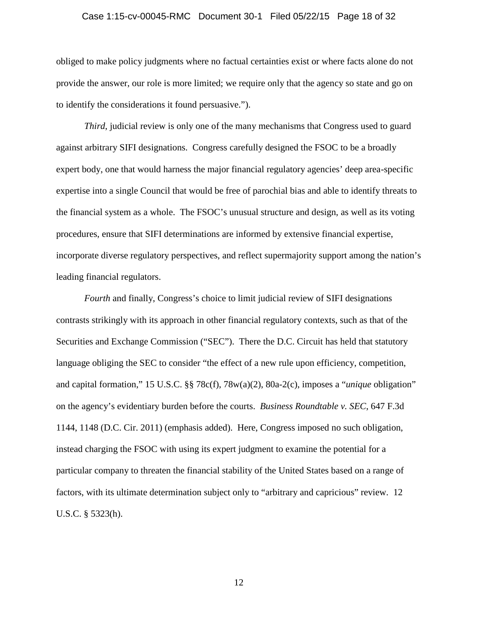#### Case 1:15-cv-00045-RMC Document 30-1 Filed 05/22/15 Page 18 of 32

obliged to make policy judgments where no factual certainties exist or where facts alone do not provide the answer, our role is more limited; we require only that the agency so state and go on to identify the considerations it found persuasive.").

*Third*, judicial review is only one of the many mechanisms that Congress used to guard against arbitrary SIFI designations. Congress carefully designed the FSOC to be a broadly expert body, one that would harness the major financial regulatory agencies' deep area-specific expertise into a single Council that would be free of parochial bias and able to identify threats to the financial system as a whole. The FSOC's unusual structure and design, as well as its voting procedures, ensure that SIFI determinations are informed by extensive financial expertise, incorporate diverse regulatory perspectives, and reflect supermajority support among the nation's leading financial regulators.

*Fourth* and finally, Congress's choice to limit judicial review of SIFI designations contrasts strikingly with its approach in other financial regulatory contexts, such as that of the Securities and Exchange Commission ("SEC"). There the D.C. Circuit has held that statutory language obliging the SEC to consider "the effect of a new rule upon efficiency, competition, and capital formation," 15 U.S.C. §§ 78c(f), 78w(a)(2), 80a-2(c), imposes a "*unique* obligation" on the agency's evidentiary burden before the courts. *Business Roundtable v. SEC*, 647 F.3d 1144, 1148 (D.C. Cir. 2011) (emphasis added). Here, Congress imposed no such obligation, instead charging the FSOC with using its expert judgment to examine the potential for a particular company to threaten the financial stability of the United States based on a range of factors, with its ultimate determination subject only to "arbitrary and capricious" review. 12 U.S.C. § 5323(h).

12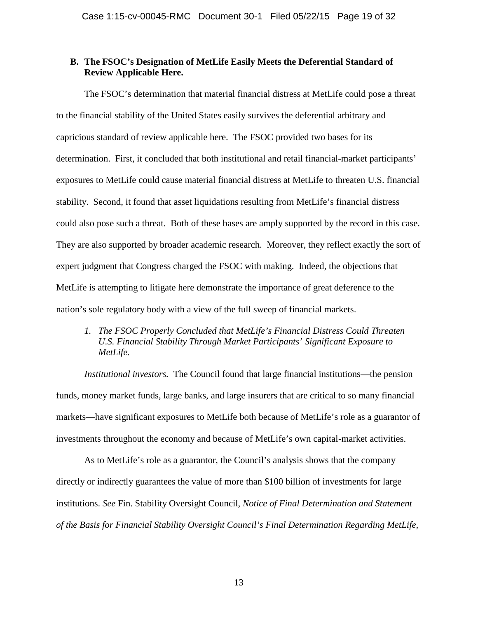### **B. The FSOC's Designation of MetLife Easily Meets the Deferential Standard of Review Applicable Here.**

The FSOC's determination that material financial distress at MetLife could pose a threat to the financial stability of the United States easily survives the deferential arbitrary and capricious standard of review applicable here. The FSOC provided two bases for its determination. First, it concluded that both institutional and retail financial-market participants' exposures to MetLife could cause material financial distress at MetLife to threaten U.S. financial stability. Second, it found that asset liquidations resulting from MetLife's financial distress could also pose such a threat. Both of these bases are amply supported by the record in this case. They are also supported by broader academic research. Moreover, they reflect exactly the sort of expert judgment that Congress charged the FSOC with making. Indeed, the objections that MetLife is attempting to litigate here demonstrate the importance of great deference to the nation's sole regulatory body with a view of the full sweep of financial markets.

# *1. The FSOC Properly Concluded that MetLife's Financial Distress Could Threaten U.S. Financial Stability Through Market Participants' Significant Exposure to MetLife.*

*Institutional investors.* The Council found that large financial institutions—the pension funds, money market funds, large banks, and large insurers that are critical to so many financial markets—have significant exposures to MetLife both because of MetLife's role as a guarantor of investments throughout the economy and because of MetLife's own capital-market activities.

As to MetLife's role as a guarantor, the Council's analysis shows that the company directly or indirectly guarantees the value of more than \$100 billion of investments for large institutions. *See* Fin. Stability Oversight Council, *Notice of Final Determination and Statement of the Basis for Financial Stability Oversight Council's Final Determination Regarding MetLife,*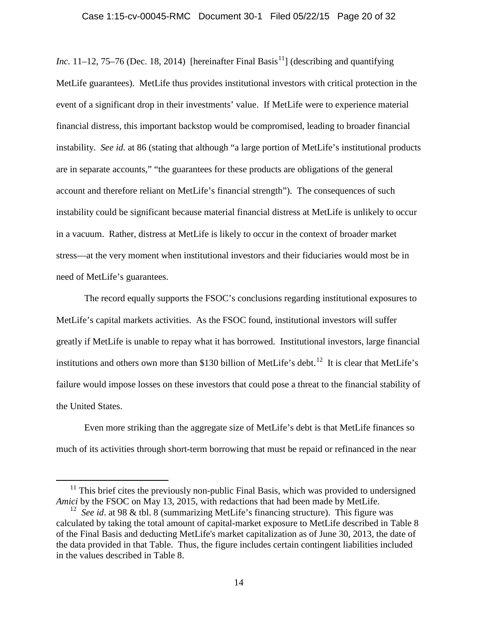*Inc.* 11–12, 75–76 (Dec. 18, 2014) [hereinafter Final Basis<sup>11</sup>] (describing and quantifying MetLife guarantees). MetLife thus provides institutional investors with critical protection in the event of a significant drop in their investments' value. If MetLife were to experience material financial distress, this important backstop would be compromised, leading to broader financial instability. *See id.* at 86 (stating that although "a large portion of MetLife's institutional products are in separate accounts," "the guarantees for these products are obligations of the general account and therefore reliant on MetLife's financial strength"). The consequences of such instability could be significant because material financial distress at MetLife is unlikely to occur in a vacuum. Rather, distress at MetLife is likely to occur in the context of broader market stress—at the very moment when institutional investors and their fiduciaries would most be in need of MetLife's guarantees.

The record equally supports the FSOC's conclusions regarding institutional exposures to MetLife's capital markets activities. As the FSOC found, institutional investors will suffer greatly if MetLife is unable to repay what it has borrowed. Institutional investors, large financial institutions and others own more than \$130 billion of MetLife's debt.<sup>12</sup> It is clear that MetLife's failure would impose losses on these investors that could pose a threat to the financial stability of the United States.

Even more striking than the aggregate size of MetLife's debt is that MetLife finances so much of its activities through short-term borrowing that must be repaid or refinanced in the near

 $11$  This brief cites the previously non-public Final Basis, which was provided to undersigned *Amici* by the FSOC on May 13, 2015, with redactions that had been made by MetLife.

<sup>&</sup>lt;sup>12</sup> *See id.* at 98 & tbl. 8 (summarizing MetLife's financing structure). This figure was calculated by taking the total amount of capital-market exposure to MetLife described in Table 8 of the Final Basis and deducting MetLife's market capitalization as of June 30, 2013, the date of the data provided in that Table. Thus, the figure includes certain contingent liabilities included in the values described in Table 8.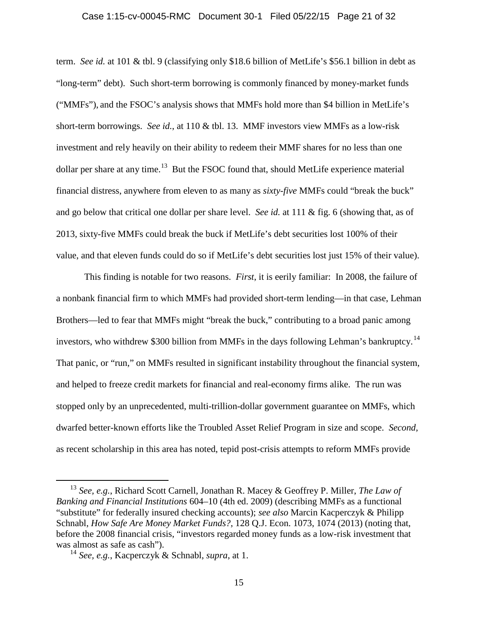#### Case 1:15-cv-00045-RMC Document 30-1 Filed 05/22/15 Page 21 of 32

term. *See id.* at 101 & tbl. 9 (classifying only \$18.6 billion of MetLife's \$56.1 billion in debt as "long-term" debt). Such short-term borrowing is commonly financed by money-market funds ("MMFs"), and the FSOC's analysis shows that MMFs hold more than \$4 billion in MetLife's short-term borrowings. *See id.*, at 110 & tbl. 13. MMF investors view MMFs as a low-risk investment and rely heavily on their ability to redeem their MMF shares for no less than one dollar per share at any time.<sup>13</sup> But the FSOC found that, should MetLife experience material financial distress, anywhere from eleven to as many as *sixty-five* MMFs could "break the buck" and go below that critical one dollar per share level. *See id.* at 111 & fig. 6 (showing that, as of 2013, sixty-five MMFs could break the buck if MetLife's debt securities lost 100% of their value, and that eleven funds could do so if MetLife's debt securities lost just 15% of their value).

This finding is notable for two reasons. *First*, it is eerily familiar: In 2008, the failure of a nonbank financial firm to which MMFs had provided short-term lending—in that case, Lehman Brothers—led to fear that MMFs might "break the buck," contributing to a broad panic among investors, who withdrew \$300 billion from MMFs in the days following Lehman's bankruptcy.<sup>14</sup> That panic, or "run," on MMFs resulted in significant instability throughout the financial system, and helped to freeze credit markets for financial and real-economy firms alike. The run was stopped only by an unprecedented, multi-trillion-dollar government guarantee on MMFs, which dwarfed better-known efforts like the Troubled Asset Relief Program in size and scope. *Second,* as recent scholarship in this area has noted, tepid post-crisis attempts to reform MMFs provide

<sup>13</sup> *See, e.g.*, Richard Scott Carnell, Jonathan R. Macey & Geoffrey P. Miller, *The Law of Banking and Financial Institutions* 604–10 (4th ed. 2009) (describing MMFs as a functional "substitute" for federally insured checking accounts); *see also* Marcin Kacperczyk & Philipp Schnabl, *How Safe Are Money Market Funds?*, 128 Q.J. Econ. 1073, 1074 (2013) (noting that, before the 2008 financial crisis, "investors regarded money funds as a low-risk investment that was almost as safe as cash").

<sup>14</sup> *See, e.g.*, Kacperczyk & Schnabl, *supra*, at 1.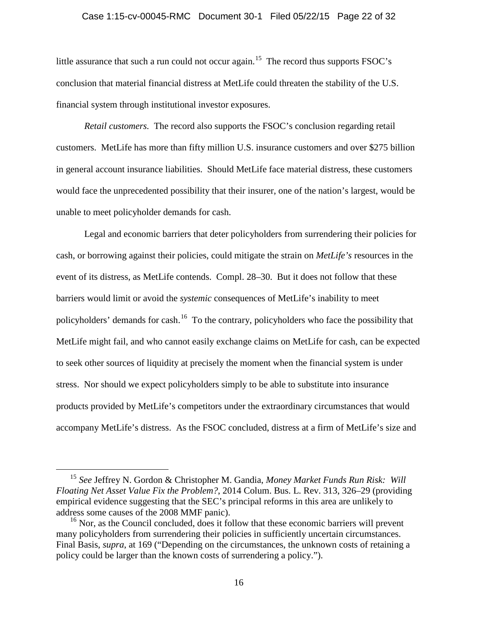#### Case 1:15-cv-00045-RMC Document 30-1 Filed 05/22/15 Page 22 of 32

little assurance that such a run could not occur again.<sup>15</sup> The record thus supports FSOC's conclusion that material financial distress at MetLife could threaten the stability of the U.S. financial system through institutional investor exposures.

*Retail customers.* The record also supports the FSOC's conclusion regarding retail customers. MetLife has more than fifty million U.S. insurance customers and over \$275 billion in general account insurance liabilities. Should MetLife face material distress, these customers would face the unprecedented possibility that their insurer, one of the nation's largest, would be unable to meet policyholder demands for cash.

Legal and economic barriers that deter policyholders from surrendering their policies for cash, or borrowing against their policies, could mitigate the strain on *MetLife's* resources in the event of its distress, as MetLife contends. Compl. 28–30. But it does not follow that these barriers would limit or avoid the *systemic* consequences of MetLife's inability to meet policyholders' demands for cash.<sup>16</sup> To the contrary, policyholders who face the possibility that MetLife might fail, and who cannot easily exchange claims on MetLife for cash, can be expected to seek other sources of liquidity at precisely the moment when the financial system is under stress. Nor should we expect policyholders simply to be able to substitute into insurance products provided by MetLife's competitors under the extraordinary circumstances that would accompany MetLife's distress. As the FSOC concluded, distress at a firm of MetLife's size and

<sup>15</sup> *See* Jeffrey N. Gordon & Christopher M. Gandia, *Money Market Funds Run Risk: Will Floating Net Asset Value Fix the Problem?*, 2014 Colum. Bus. L. Rev. 313, 326–29 (providing empirical evidence suggesting that the SEC's principal reforms in this area are unlikely to address some causes of the 2008 MMF panic).

<sup>&</sup>lt;sup>16</sup> Nor, as the Council concluded, does it follow that these economic barriers will prevent many policyholders from surrendering their policies in sufficiently uncertain circumstances. Final Basis, *supra*, at 169 ("Depending on the circumstances, the unknown costs of retaining a policy could be larger than the known costs of surrendering a policy.").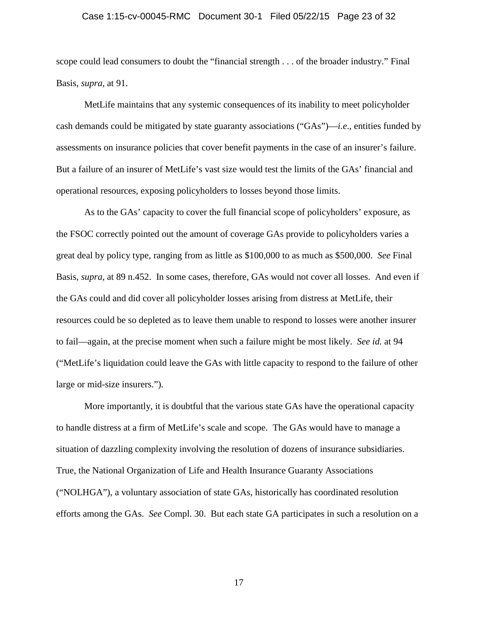#### Case 1:15-cv-00045-RMC Document 30-1 Filed 05/22/15 Page 23 of 32

scope could lead consumers to doubt the "financial strength . . . of the broader industry." Final Basis, *supra*, at 91.

MetLife maintains that any systemic consequences of its inability to meet policyholder cash demands could be mitigated by state guaranty associations ("GAs")—*i.e*., entities funded by assessments on insurance policies that cover benefit payments in the case of an insurer's failure. But a failure of an insurer of MetLife's vast size would test the limits of the GAs' financial and operational resources, exposing policyholders to losses beyond those limits.

As to the GAs' capacity to cover the full financial scope of policyholders' exposure, as the FSOC correctly pointed out the amount of coverage GAs provide to policyholders varies a great deal by policy type, ranging from as little as \$100,000 to as much as \$500,000. *See* Final Basis, *supra*, at 89 n.452. In some cases, therefore, GAs would not cover all losses. And even if the GAs could and did cover all policyholder losses arising from distress at MetLife, their resources could be so depleted as to leave them unable to respond to losses were another insurer to fail—again, at the precise moment when such a failure might be most likely. *See id.* at 94 ("MetLife's liquidation could leave the GAs with little capacity to respond to the failure of other large or mid-size insurers.").

More importantly, it is doubtful that the various state GAs have the operational capacity to handle distress at a firm of MetLife's scale and scope. The GAs would have to manage a situation of dazzling complexity involving the resolution of dozens of insurance subsidiaries. True, the National Organization of Life and Health Insurance Guaranty Associations ("NOLHGA"), a voluntary association of state GAs, historically has coordinated resolution efforts among the GAs. *See* Compl. 30. But each state GA participates in such a resolution on a

17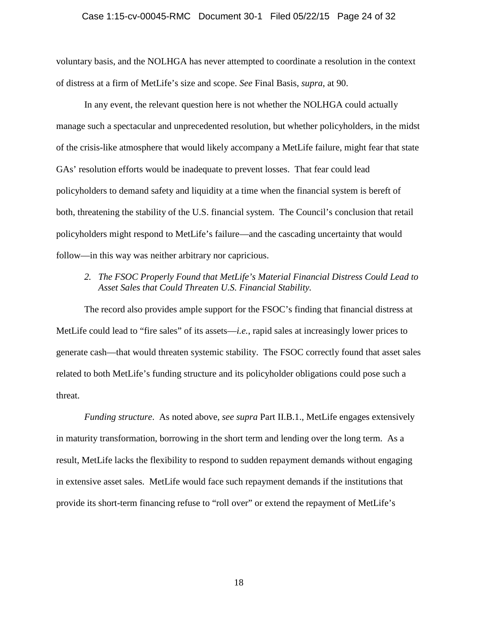#### Case 1:15-cv-00045-RMC Document 30-1 Filed 05/22/15 Page 24 of 32

voluntary basis, and the NOLHGA has never attempted to coordinate a resolution in the context of distress at a firm of MetLife's size and scope. *See* Final Basis, *supra*, at 90.

In any event, the relevant question here is not whether the NOLHGA could actually manage such a spectacular and unprecedented resolution, but whether policyholders, in the midst of the crisis-like atmosphere that would likely accompany a MetLife failure, might fear that state GAs' resolution efforts would be inadequate to prevent losses. That fear could lead policyholders to demand safety and liquidity at a time when the financial system is bereft of both, threatening the stability of the U.S. financial system. The Council's conclusion that retail policyholders might respond to MetLife's failure—and the cascading uncertainty that would follow—in this way was neither arbitrary nor capricious.

### *2. The FSOC Properly Found that MetLife's Material Financial Distress Could Lead to Asset Sales that Could Threaten U.S. Financial Stability.*

The record also provides ample support for the FSOC's finding that financial distress at MetLife could lead to "fire sales" of its assets—*i.e.*, rapid sales at increasingly lower prices to generate cash—that would threaten systemic stability. The FSOC correctly found that asset sales related to both MetLife's funding structure and its policyholder obligations could pose such a threat.

*Funding structure*. As noted above, *see supra* Part II.B.1., MetLife engages extensively in maturity transformation, borrowing in the short term and lending over the long term. As a result, MetLife lacks the flexibility to respond to sudden repayment demands without engaging in extensive asset sales. MetLife would face such repayment demands if the institutions that provide its short-term financing refuse to "roll over" or extend the repayment of MetLife's

18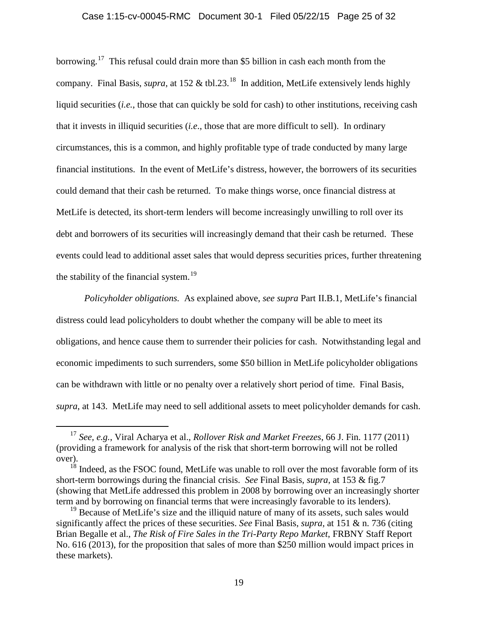#### Case 1:15-cv-00045-RMC Document 30-1 Filed 05/22/15 Page 25 of 32

borrowing.<sup>17</sup> This refusal could drain more than \$5 billion in cash each month from the company. Final Basis, *supra*, at 152 & tbl.23.<sup>18</sup> In addition, MetLife extensively lends highly liquid securities *(i.e.*, those that can quickly be sold for cash) to other institutions, receiving cash that it invests in illiquid securities (*i.e*., those that are more difficult to sell). In ordinary circumstances, this is a common, and highly profitable type of trade conducted by many large financial institutions. In the event of MetLife's distress, however, the borrowers of its securities could demand that their cash be returned. To make things worse, once financial distress at MetLife is detected, its short-term lenders will become increasingly unwilling to roll over its debt and borrowers of its securities will increasingly demand that their cash be returned. These events could lead to additional asset sales that would depress securities prices, further threatening the stability of the financial system.<sup>19</sup>

*Policyholder obligations.* As explained above, *see supra* Part II.B.1, MetLife's financial distress could lead policyholders to doubt whether the company will be able to meet its obligations, and hence cause them to surrender their policies for cash. Notwithstanding legal and economic impediments to such surrenders, some \$50 billion in MetLife policyholder obligations can be withdrawn with little or no penalty over a relatively short period of time. Final Basis, *supra*, at 143. MetLife may need to sell additional assets to meet policyholder demands for cash.

<sup>17</sup> *See, e.g.*, Viral Acharya et al., *Rollover Risk and Market Freezes*, 66 J. Fin. 1177 (2011) (providing a framework for analysis of the risk that short-term borrowing will not be rolled over).

 $18$  Indeed, as the FSOC found, MetLife was unable to roll over the most favorable form of its short-term borrowings during the financial crisis. *See* Final Basis, *supra*, at 153 & fig.7 (showing that MetLife addressed this problem in 2008 by borrowing over an increasingly shorter term and by borrowing on financial terms that were increasingly favorable to its lenders).

 $19$  Because of MetLife's size and the illiquid nature of many of its assets, such sales would significantly affect the prices of these securities. *See* Final Basis, *supra*, at 151 & n. 736 (citing Brian Begalle et al., *The Risk of Fire Sales in the Tri-Party Repo Market*, FRBNY Staff Report No. 616 (2013), for the proposition that sales of more than \$250 million would impact prices in these markets).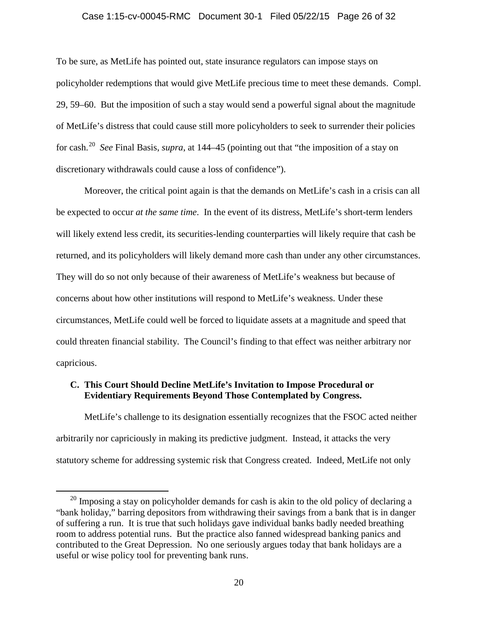#### Case 1:15-cv-00045-RMC Document 30-1 Filed 05/22/15 Page 26 of 32

To be sure, as MetLife has pointed out, state insurance regulators can impose stays on policyholder redemptions that would give MetLife precious time to meet these demands. Compl. 29, 59–60. But the imposition of such a stay would send a powerful signal about the magnitude of MetLife's distress that could cause still more policyholders to seek to surrender their policies for cash.<sup>20</sup> *See* Final Basis, *supra*, at 144–45 (pointing out that "the imposition of a stay on discretionary withdrawals could cause a loss of confidence").

Moreover, the critical point again is that the demands on MetLife's cash in a crisis can all be expected to occur *at the same time*. In the event of its distress, MetLife's short-term lenders will likely extend less credit, its securities-lending counterparties will likely require that cash be returned, and its policyholders will likely demand more cash than under any other circumstances. They will do so not only because of their awareness of MetLife's weakness but because of concerns about how other institutions will respond to MetLife's weakness. Under these circumstances, MetLife could well be forced to liquidate assets at a magnitude and speed that could threaten financial stability. The Council's finding to that effect was neither arbitrary nor capricious.

### **C. This Court Should Decline MetLife's Invitation to Impose Procedural or Evidentiary Requirements Beyond Those Contemplated by Congress.**

MetLife's challenge to its designation essentially recognizes that the FSOC acted neither arbitrarily nor capriciously in making its predictive judgment. Instead, it attacks the very statutory scheme for addressing systemic risk that Congress created. Indeed, MetLife not only

 $20$  Imposing a stay on policyholder demands for cash is akin to the old policy of declaring a "bank holiday," barring depositors from withdrawing their savings from a bank that is in danger of suffering a run. It is true that such holidays gave individual banks badly needed breathing room to address potential runs. But the practice also fanned widespread banking panics and contributed to the Great Depression. No one seriously argues today that bank holidays are a useful or wise policy tool for preventing bank runs.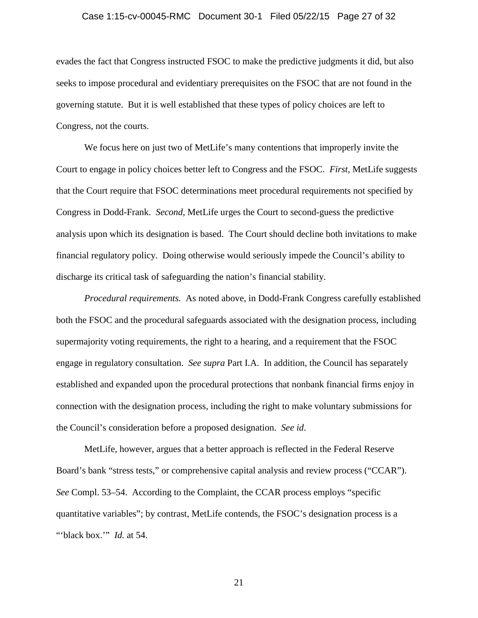#### Case 1:15-cv-00045-RMC Document 30-1 Filed 05/22/15 Page 27 of 32

evades the fact that Congress instructed FSOC to make the predictive judgments it did, but also seeks to impose procedural and evidentiary prerequisites on the FSOC that are not found in the governing statute. But it is well established that these types of policy choices are left to Congress, not the courts.

We focus here on just two of MetLife's many contentions that improperly invite the Court to engage in policy choices better left to Congress and the FSOC. *First*, MetLife suggests that the Court require that FSOC determinations meet procedural requirements not specified by Congress in Dodd-Frank. *Second*, MetLife urges the Court to second-guess the predictive analysis upon which its designation is based. The Court should decline both invitations to make financial regulatory policy. Doing otherwise would seriously impede the Council's ability to discharge its critical task of safeguarding the nation's financial stability.

*Procedural requirements.* As noted above, in Dodd-Frank Congress carefully established both the FSOC and the procedural safeguards associated with the designation process, including supermajority voting requirements, the right to a hearing, and a requirement that the FSOC engage in regulatory consultation. *See supra* Part I.A. In addition, the Council has separately established and expanded upon the procedural protections that nonbank financial firms enjoy in connection with the designation process, including the right to make voluntary submissions for the Council's consideration before a proposed designation. *See id*.

MetLife, however, argues that a better approach is reflected in the Federal Reserve Board's bank "stress tests," or comprehensive capital analysis and review process ("CCAR"). *See* Compl. 53–54. According to the Complaint, the CCAR process employs "specific quantitative variables"; by contrast, MetLife contends, the FSOC's designation process is a "'black box.'" *Id.* at 54.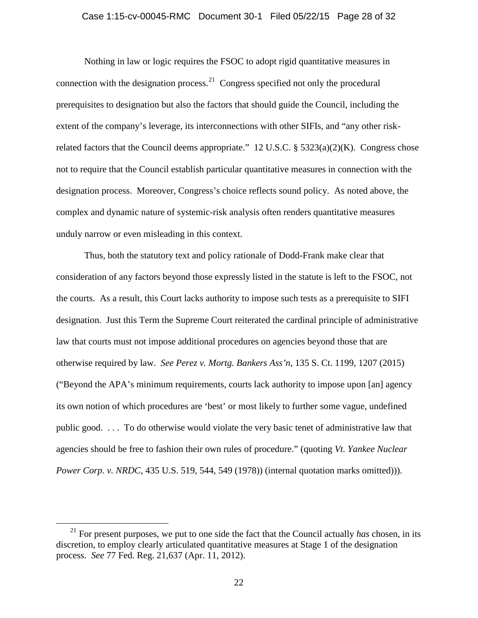#### Case 1:15-cv-00045-RMC Document 30-1 Filed 05/22/15 Page 28 of 32

Nothing in law or logic requires the FSOC to adopt rigid quantitative measures in connection with the designation process.<sup>21</sup> Congress specified not only the procedural prerequisites to designation but also the factors that should guide the Council, including the extent of the company's leverage, its interconnections with other SIFIs, and "any other riskrelated factors that the Council deems appropriate." 12 U.S.C. § 5323(a)(2)(K). Congress chose not to require that the Council establish particular quantitative measures in connection with the designation process. Moreover, Congress's choice reflects sound policy. As noted above, the complex and dynamic nature of systemic-risk analysis often renders quantitative measures unduly narrow or even misleading in this context.

Thus, both the statutory text and policy rationale of Dodd-Frank make clear that consideration of any factors beyond those expressly listed in the statute is left to the FSOC, not the courts. As a result, this Court lacks authority to impose such tests as a prerequisite to SIFI designation. Just this Term the Supreme Court reiterated the cardinal principle of administrative law that courts must not impose additional procedures on agencies beyond those that are otherwise required by law. *See Perez v. Mortg. Bankers Ass'n*, 135 S. Ct. 1199, 1207 (2015) ("Beyond the APA's minimum requirements, courts lack authority to impose upon [an] agency its own notion of which procedures are 'best' or most likely to further some vague, undefined public good. . . . To do otherwise would violate the very basic tenet of administrative law that agencies should be free to fashion their own rules of procedure." (quoting *Vt. Yankee Nuclear Power Corp. v. NRDC*, 435 U.S. 519, 544, 549 (1978)) (internal quotation marks omitted))).

<sup>&</sup>lt;sup>21</sup> For present purposes, we put to one side the fact that the Council actually *has* chosen, in its discretion, to employ clearly articulated quantitative measures at Stage 1 of the designation process. *See* 77 Fed. Reg. 21,637 (Apr. 11, 2012).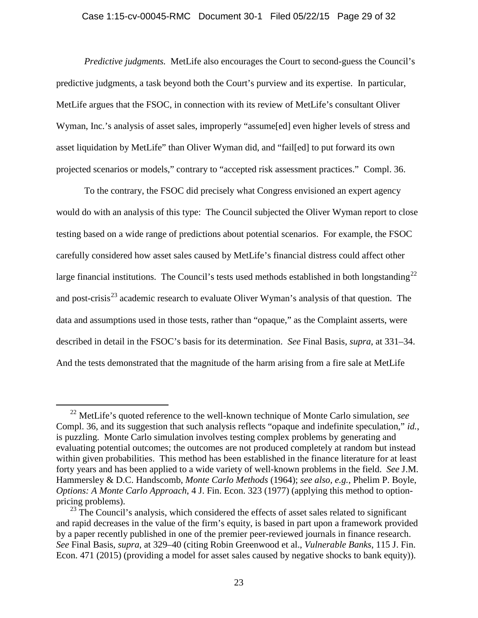#### Case 1:15-cv-00045-RMC Document 30-1 Filed 05/22/15 Page 29 of 32

*Predictive judgments.* MetLife also encourages the Court to second-guess the Council's predictive judgments, a task beyond both the Court's purview and its expertise. In particular, MetLife argues that the FSOC, in connection with its review of MetLife's consultant Oliver Wyman, Inc.'s analysis of asset sales, improperly "assume[ed] even higher levels of stress and asset liquidation by MetLife" than Oliver Wyman did, and "fail[ed] to put forward its own projected scenarios or models," contrary to "accepted risk assessment practices." Compl. 36.

To the contrary, the FSOC did precisely what Congress envisioned an expert agency would do with an analysis of this type: The Council subjected the Oliver Wyman report to close testing based on a wide range of predictions about potential scenarios. For example, the FSOC carefully considered how asset sales caused by MetLife's financial distress could affect other large financial institutions. The Council's tests used methods established in both longstanding<sup>22</sup> and post-crisis<sup>23</sup> academic research to evaluate Oliver Wyman's analysis of that question. The data and assumptions used in those tests, rather than "opaque," as the Complaint asserts, were described in detail in the FSOC's basis for its determination. *See* Final Basis, *supra*, at 331–34. And the tests demonstrated that the magnitude of the harm arising from a fire sale at MetLife

<sup>22</sup> MetLife's quoted reference to the well-known technique of Monte Carlo simulation, *see* Compl. 36, and its suggestion that such analysis reflects "opaque and indefinite speculation," *id.*, is puzzling. Monte Carlo simulation involves testing complex problems by generating and evaluating potential outcomes; the outcomes are not produced completely at random but instead within given probabilities. This method has been established in the finance literature for at least forty years and has been applied to a wide variety of well-known problems in the field. *See* J.M. Hammersley & D.C. Handscomb, *Monte Carlo Methods* (1964); *see also, e.g.*, Phelim P. Boyle, *Options: A Monte Carlo Approach*, 4 J. Fin. Econ. 323 (1977) (applying this method to option pricing problems).

 $^{23}$  The Council's analysis, which considered the effects of asset sales related to significant and rapid decreases in the value of the firm's equity, is based in part upon a framework provided by a paper recently published in one of the premier peer-reviewed journals in finance research. *See* Final Basis, *supra*, at 329–40 (citing Robin Greenwood et al., *Vulnerable Banks*, 115 J. Fin. Econ. 471 (2015) (providing a model for asset sales caused by negative shocks to bank equity)).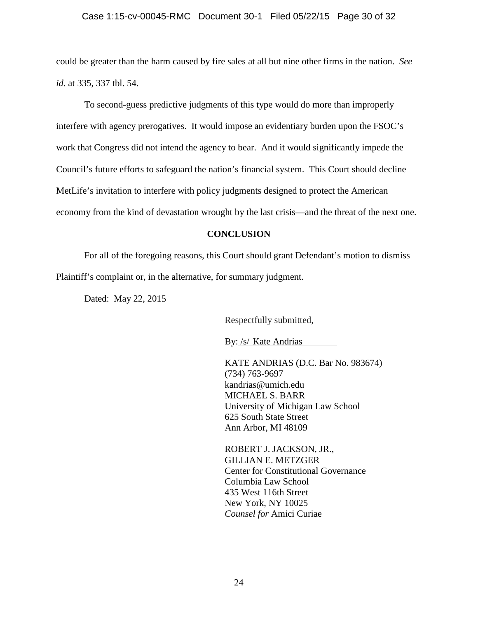### Case 1:15-cv-00045-RMC Document 30-1 Filed 05/22/15 Page 30 of 32

could be greater than the harm caused by fire sales at all but nine other firms in the nation. *See id.* at 335, 337 tbl. 54.

To second-guess predictive judgments of this type would do more than improperly interfere with agency prerogatives. It would impose an evidentiary burden upon the FSOC's work that Congress did not intend the agency to bear. And it would significantly impede the Council's future efforts to safeguard the nation's financial system. This Court should decline MetLife's invitation to interfere with policy judgments designed to protect the American economy from the kind of devastation wrought by the last crisis—and the threat of the next one.

### **CONCLUSION**

For all of the foregoing reasons, this Court should grant Defendant's motion to dismiss Plaintiff's complaint or, in the alternative, for summary judgment.

Dated: May 22, 2015

Respectfully submitted,

By: /s/ Kate Andrias

KATE ANDRIAS (D.C. Bar No. 983674) (734) 763-9697 kandrias@umich.edu MICHAEL S. BARR University of Michigan Law School 625 South State Street Ann Arbor, MI 48109

ROBERT J. JACKSON, JR., GILLIAN E. METZGER Center for Constitutional Governance Columbia Law School 435 West 116th Street New York, NY 10025 *Counsel for* Amici Curiae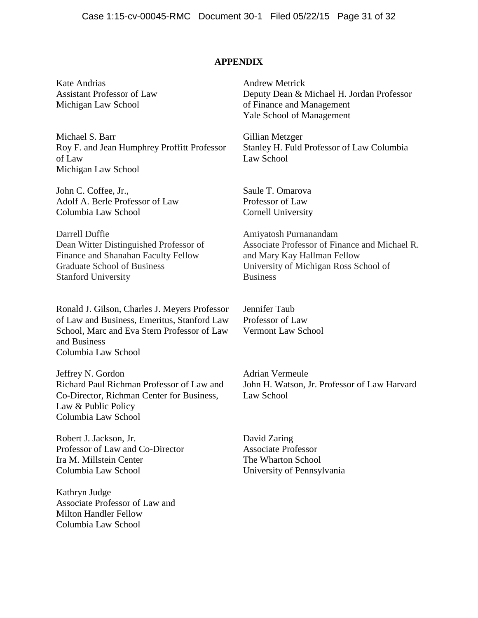### **APPENDIX**

Kate Andrias Assistant Professor of Law Michigan Law School

Michael S. Barr Roy F. and Jean Humphrey Proffitt Professor of Law Michigan Law School

John C. Coffee, Jr., Adolf A. Berle Professor of Law Columbia Law School

Darrell Duffie Dean Witter Distinguished Professor of Finance and Shanahan Faculty Fellow Graduate School of Business Stanford University

Ronald J. Gilson, Charles J. Meyers Professor of Law and Business, Emeritus, Stanford Law School, Marc and Eva Stern Professor of Law and Business Columbia Law School

Jeffrey N. Gordon Richard Paul Richman Professor of Law and Co-Director, Richman Center for Business, Law & Public Policy Columbia Law School

Robert J. Jackson, Jr. Professor of Law and Co-Director Ira M. Millstein Center Columbia Law School

Kathryn Judge Associate Professor of Law and Milton Handler Fellow Columbia Law School

Andrew Metrick Deputy Dean & Michael H. Jordan Professor of Finance and Management Yale School of Management

Gillian Metzger Stanley H. Fuld Professor of Law Columbia Law School

Saule T. Omarova Professor of Law Cornell University

Amiyatosh Purnanandam Associate Professor of Finance and Michael R. and Mary Kay Hallman Fellow University of Michigan Ross School of **Business** 

Jennifer Taub Professor of Law Vermont Law School

Adrian Vermeule John H. Watson, Jr. Professor of Law Harvard Law School

David Zaring Associate Professor The Wharton School University of Pennsylvania